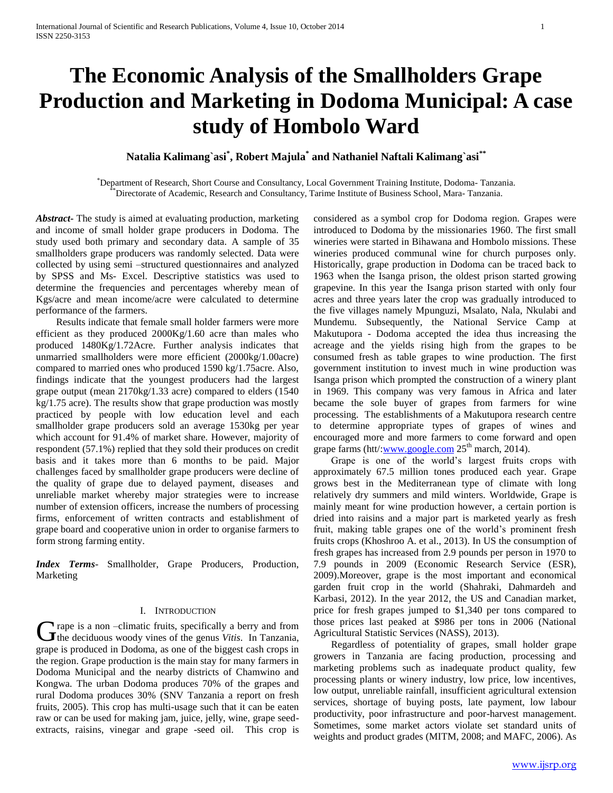# **The Economic Analysis of the Smallholders Grape Production and Marketing in Dodoma Municipal: A case study of Hombolo Ward**

# **Natalia Kalimang`asi\* , Robert Majula\* and Nathaniel Naftali Kalimang`asi\*\***

\*Department of Research, Short Course and Consultancy, Local Government Training Institute, Dodoma- Tanzania. \*\*Directorate of Academic, Research and Consultancy, Tarime Institute of Business School, Mara- Tanzania.

*Abstract***-** The study is aimed at evaluating production, marketing and income of small holder grape producers in Dodoma. The study used both primary and secondary data. A sample of 35 smallholders grape producers was randomly selected. Data were collected by using semi –structured questionnaires and analyzed by SPSS and Ms- Excel. Descriptive statistics was used to determine the frequencies and percentages whereby mean of Kgs/acre and mean income/acre were calculated to determine performance of the farmers.

 Results indicate that female small holder farmers were more efficient as they produced 2000Kg/1.60 acre than males who produced 1480Kg/1.72Acre. Further analysis indicates that unmarried smallholders were more efficient (2000kg/1.00acre) compared to married ones who produced 1590 kg/1.75acre. Also, findings indicate that the youngest producers had the largest grape output (mean 2170kg/1.33 acre) compared to elders (1540 kg/1.75 acre). The results show that grape production was mostly practiced by people with low education level and each smallholder grape producers sold an average 1530kg per year which account for 91.4% of market share. However, majority of respondent (57.1%) replied that they sold their produces on credit basis and it takes more than 6 months to be paid. Major challenges faced by smallholder grape producers were decline of the quality of grape due to delayed payment, diseases and unreliable market whereby major strategies were to increase number of extension officers, increase the numbers of processing firms, enforcement of written contracts and establishment of grape board and cooperative union in order to organise farmers to form strong farming entity.

*Index Terms*- Smallholder, Grape Producers, Production, Marketing

## I. INTRODUCTION

**T** rape is a non –climatic fruits, specifically a berry and from **C** rape is a non --climatic fruits, specifically a berry and from<br>the deciduous woody vines of the genus *Vitis*. In Tanzania, grape is produced in Dodoma, as one of the biggest cash crops in the region. Grape production is the main stay for many farmers in Dodoma Municipal and the nearby districts of Chamwino and Kongwa. The urban Dodoma produces 70% of the grapes and rural Dodoma produces 30% (SNV Tanzania a report on fresh fruits, 2005). This crop has multi-usage such that it can be eaten raw or can be used for making jam, juice, jelly, wine, grape seedextracts, raisins, vinegar and grape -seed oil. This crop is

considered as a symbol crop for Dodoma region. Grapes were introduced to Dodoma by the missionaries 1960. The first small wineries were started in Bihawana and Hombolo missions. These wineries produced communal wine for church purposes only. Historically, grape production in Dodoma can be traced back to 1963 when the Isanga prison, the oldest prison started growing grapevine. In this year the Isanga prison started with only four acres and three years later the crop was gradually introduced to the five villages namely Mpunguzi, Msalato, Nala, Nkulabi and Mundemu. Subsequently, the National Service Camp at Makutupora - Dodoma accepted the idea thus increasing the acreage and the yields rising high from the grapes to be consumed fresh as table grapes to wine production. The first government institution to invest much in wine production was Isanga prison which prompted the construction of a winery plant in 1969. This company was very famous in Africa and later became the sole buyer of grapes from farmers for wine processing. The establishments of a Makutupora research centre to determine appropriate types of grapes of wines and encouraged more and more farmers to come forward and open grape farms (htt/[:www.google.com](http://www.google.com/)  $25<sup>th</sup>$  march, 2014).

 Grape is one of the world's largest fruits crops with approximately 67.5 million tones produced each year. Grape grows best in the Mediterranean type of climate with long relatively dry summers and mild winters. Worldwide, Grape is mainly meant for wine production however, a certain portion is dried into raisins and a major part is marketed yearly as fresh fruit, making table grapes one of the world's prominent fresh fruits crops (Khoshroo A. et al., 2013). In US the consumption of fresh grapes has increased from 2.9 pounds per person in 1970 to 7.9 pounds in 2009 (Economic Research Service (ESR), 2009).Moreover, grape is the most important and economical garden fruit crop in the world (Shahraki, Dahmardeh and Karbasi, 2012). In the year 2012, the US and Canadian market, price for fresh grapes jumped to \$1,340 per tons compared to those prices last peaked at \$986 per tons in 2006 (National Agricultural Statistic Services (NASS), 2013).

 Regardless of potentiality of grapes, small holder grape growers in Tanzania are facing production, processing and marketing problems such as inadequate product quality, few processing plants or winery industry, low price, low incentives, low output, unreliable rainfall, insufficient agricultural extension services, shortage of buying posts, late payment, low labour productivity, poor infrastructure and poor-harvest management. Sometimes, some market actors violate set standard units of weights and product grades (MITM, 2008; and MAFC, 2006). As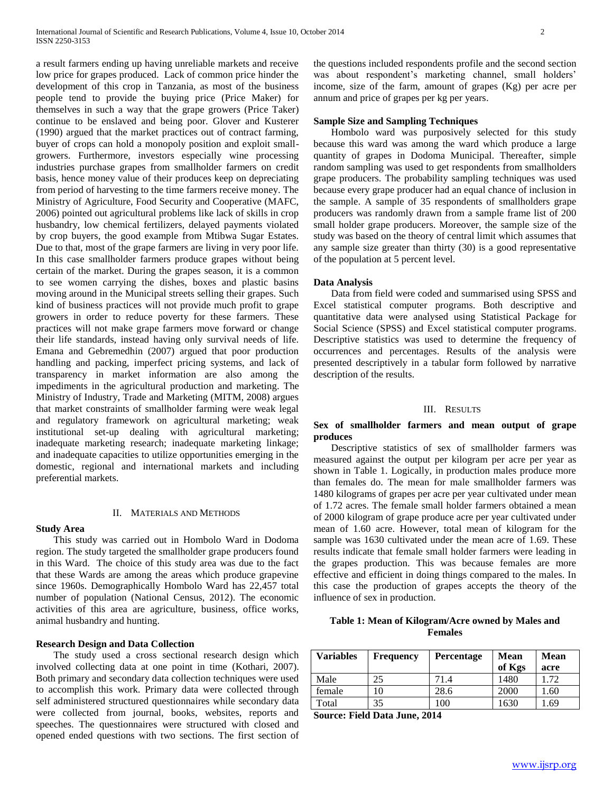a result farmers ending up having unreliable markets and receive low price for grapes produced. Lack of common price hinder the development of this crop in Tanzania, as most of the business people tend to provide the buying price (Price Maker) for themselves in such a way that the grape growers (Price Taker) continue to be enslaved and being poor. Glover and Kusterer (1990) argued that the market practices out of contract farming, buyer of crops can hold a monopoly position and exploit smallgrowers. Furthermore, investors especially wine processing industries purchase grapes from smallholder farmers on credit basis, hence money value of their produces keep on depreciating from period of harvesting to the time farmers receive money. The Ministry of Agriculture, Food Security and Cooperative (MAFC, 2006) pointed out agricultural problems like lack of skills in crop husbandry, low chemical fertilizers, delayed payments violated by crop buyers, the good example from Mtibwa Sugar Estates. Due to that, most of the grape farmers are living in very poor life. In this case smallholder farmers produce grapes without being certain of the market. During the grapes season, it is a common to see women carrying the dishes, boxes and plastic basins moving around in the Municipal streets selling their grapes. Such kind of business practices will not provide much profit to grape growers in order to reduce poverty for these farmers. These practices will not make grape farmers move forward or change their life standards, instead having only survival needs of life. Emana and Gebremedhin (2007) argued that poor production handling and packing, imperfect pricing systems, and lack of transparency in market information are also among the impediments in the agricultural production and marketing. The Ministry of Industry, Trade and Marketing (MITM, 2008) argues that market constraints of smallholder farming were weak legal and regulatory framework on agricultural marketing; weak institutional set-up dealing with agricultural marketing; inadequate marketing research; inadequate marketing linkage; and inadequate capacities to utilize opportunities emerging in the domestic, regional and international markets and including preferential markets.

## II. MATERIALS AND METHODS

#### **Study Area**

 This study was carried out in Hombolo Ward in Dodoma region. The study targeted the smallholder grape producers found in this Ward. The choice of this study area was due to the fact that these Wards are among the areas which produce grapevine since 1960s. Demographically Hombolo Ward has 22,457 total number of population (National Census, 2012). The economic activities of this area are agriculture, business, office works, animal husbandry and hunting.

### **Research Design and Data Collection**

 The study used a cross sectional research design which involved collecting data at one point in time (Kothari, 2007). Both primary and secondary data collection techniques were used to accomplish this work. Primary data were collected through self administered structured questionnaires while secondary data were collected from journal, books, websites, reports and speeches. The questionnaires were structured with closed and opened ended questions with two sections. The first section of the questions included respondents profile and the second section was about respondent's marketing channel, small holders' income, size of the farm, amount of grapes (Kg) per acre per annum and price of grapes per kg per years.

#### **Sample Size and Sampling Techniques**

 Hombolo ward was purposively selected for this study because this ward was among the ward which produce a large quantity of grapes in Dodoma Municipal. Thereafter, simple random sampling was used to get respondents from smallholders grape producers. The probability sampling techniques was used because every grape producer had an equal chance of inclusion in the sample. A sample of 35 respondents of smallholders grape producers was randomly drawn from a sample frame list of 200 small holder grape producers. Moreover, the sample size of the study was based on the theory of central limit which assumes that any sample size greater than thirty (30) is a good representative of the population at 5 percent level.

#### **Data Analysis**

 Data from field were coded and summarised using SPSS and Excel statistical computer programs. Both descriptive and quantitative data were analysed using Statistical Package for Social Science (SPSS) and Excel statistical computer programs. Descriptive statistics was used to determine the frequency of occurrences and percentages. Results of the analysis were presented descriptively in a tabular form followed by narrative description of the results.

#### III. RESULTS

# **Sex of smallholder farmers and mean output of grape produces**

 Descriptive statistics of sex of smallholder farmers was measured against the output per kilogram per acre per year as shown in Table 1. Logically, in production males produce more than females do. The mean for male smallholder farmers was 1480 kilograms of grapes per acre per year cultivated under mean of 1.72 acres. The female small holder farmers obtained a mean of 2000 kilogram of grape produce acre per year cultivated under mean of 1.60 acre. However, total mean of kilogram for the sample was 1630 cultivated under the mean acre of 1.69. These results indicate that female small holder farmers were leading in the grapes production. This was because females are more effective and efficient in doing things compared to the males. In this case the production of grapes accepts the theory of the influence of sex in production.

# **Table 1: Mean of Kilogram/Acre owned by Males and Females**

| <b>Variables</b> | <b>Frequency</b> | <b>Percentage</b> | <b>Mean</b> | <b>Mean</b> |
|------------------|------------------|-------------------|-------------|-------------|
|                  |                  |                   | of Kgs      | acre        |
| Male             | 25               | 71.4              | 1480        | 1.72        |
| female           |                  | 28.6              | 2000        | .60         |
| Total            | 35               | 100               | 1630        | .69         |
| $\sim$           | _____            | ----              |             |             |

**Source: Field Data June, 2014**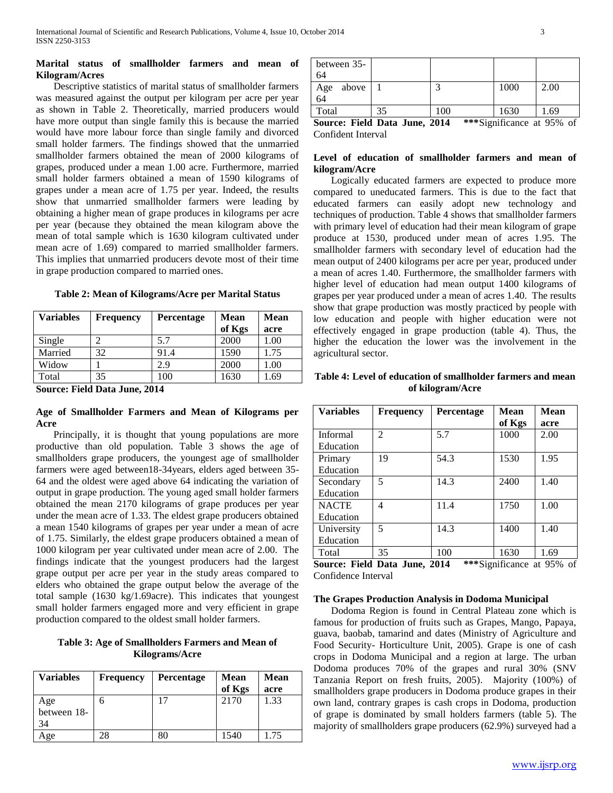## **Marital status of smallholder farmers and mean of Kilogram/Acres**

 Descriptive statistics of marital status of smallholder farmers was measured against the output per kilogram per acre per year as shown in Table 2. Theoretically, married producers would have more output than single family this is because the married would have more labour force than single family and divorced small holder farmers. The findings showed that the unmarried smallholder farmers obtained the mean of 2000 kilograms of grapes, produced under a mean 1.00 acre. Furthermore, married small holder farmers obtained a mean of 1590 kilograms of grapes under a mean acre of 1.75 per year. Indeed, the results show that unmarried smallholder farmers were leading by obtaining a higher mean of grape produces in kilograms per acre per year (because they obtained the mean kilogram above the mean of total sample which is 1630 kilogram cultivated under mean acre of 1.69) compared to married smallholder farmers. This implies that unmarried producers devote most of their time in grape production compared to married ones.

| <b>Variables</b> | <b>Frequency</b> | <b>Percentage</b> | <b>Mean</b> | <b>Mean</b> |
|------------------|------------------|-------------------|-------------|-------------|
|                  |                  |                   | of Kgs      | acre        |
| Single           |                  | 5.7               | 2000        | 00.1        |
| Married          | 32               | 91.4              | 1590        | 1.75        |
| Widow            |                  | 2.9               | 2000        | .00         |

Total 35 100 1630 1.69

# **Table 2: Mean of Kilograms/Acre per Marital Status**

**Source: Field Data June, 2014**

# **Age of Smallholder Farmers and Mean of Kilograms per Acre**

 Principally, it is thought that young populations are more productive than old population. Table 3 shows the age of smallholders grape producers, the youngest age of smallholder farmers were aged between18-34years, elders aged between 35- 64 and the oldest were aged above 64 indicating the variation of output in grape production. The young aged small holder farmers obtained the mean 2170 kilograms of grape produces per year under the mean acre of 1.33. The eldest grape producers obtained a mean 1540 kilograms of grapes per year under a mean of acre of 1.75. Similarly, the eldest grape producers obtained a mean of 1000 kilogram per year cultivated under mean acre of 2.00. The findings indicate that the youngest producers had the largest grape output per acre per year in the study areas compared to elders who obtained the grape output below the average of the total sample (1630 kg/1.69acre). This indicates that youngest small holder farmers engaged more and very efficient in grape production compared to the oldest small holder farmers.

**Table 3: Age of Smallholders Farmers and Mean of Kilograms/Acre**

| <b>Variables</b>         | <b>Frequency</b> | Percentage | Mean<br>of Kgs | <b>Mean</b><br>acre |
|--------------------------|------------------|------------|----------------|---------------------|
| Age<br>between 18-<br>34 | n                | 17         | 2170           | 1.33                |
| Age                      | 28               | 80         | 1540           | 1.75                |

| between 35-<br>64                                                                                                                                                                                                                                                                                                                                                      |    |     |      |      |
|------------------------------------------------------------------------------------------------------------------------------------------------------------------------------------------------------------------------------------------------------------------------------------------------------------------------------------------------------------------------|----|-----|------|------|
| above<br>Age<br>64                                                                                                                                                                                                                                                                                                                                                     |    |     | 1000 | 2.00 |
| Total                                                                                                                                                                                                                                                                                                                                                                  | 35 | 100 | 1630 | 1.69 |
| $***C:$ $\ldots$ $C:$ $\ldots$ $\ldots$ $\ldots$ $\ldots$ $\ldots$ $\ldots$ $\ldots$ $\ldots$ $\ldots$ $\ldots$ $\ldots$ $\ldots$ $\ldots$ $\ldots$ $\ldots$ $\ldots$ $\ldots$ $\ldots$ $\ldots$ $\ldots$ $\ldots$ $\ldots$ $\ldots$ $\ldots$ $\ldots$ $\ldots$ $\ldots$ $\ldots$ $\ldots$ $\ldots$ $\ldots$ $\ldots$ $\ldots$ $\ldots$<br>Source: Eald Dote Lyne 2014 |    |     |      |      |

**Source: Field Data June, 2014 \*\*\***Significance at 95% of Confident Interval

# **Level of education of smallholder farmers and mean of kilogram/Acre**

 Logically educated farmers are expected to produce more compared to uneducated farmers. This is due to the fact that educated farmers can easily adopt new technology and techniques of production. Table 4 shows that smallholder farmers with primary level of education had their mean kilogram of grape produce at 1530, produced under mean of acres 1.95. The smallholder farmers with secondary level of education had the mean output of 2400 kilograms per acre per year, produced under a mean of acres 1.40. Furthermore, the smallholder farmers with higher level of education had mean output 1400 kilograms of grapes per year produced under a mean of acres 1.40. The results show that grape production was mostly practiced by people with low education and people with higher education were not effectively engaged in grape production (table 4). Thus, the higher the education the lower was the involvement in the agricultural sector.

## **Table 4: Level of education of smallholder farmers and mean of kilogram/Acre**

| <b>Variables</b>               | <b>Frequency</b> | Percentage    | <b>Mean</b>    | <b>Mean</b> |
|--------------------------------|------------------|---------------|----------------|-------------|
|                                |                  |               | of Kgs         | acre        |
| Informal                       | $\mathfrak{D}$   | 5.7           | 1000           | 2.00        |
| Education                      |                  |               |                |             |
| Primary                        | 19               | 54.3          | 1530           | 1.95        |
| Education                      |                  |               |                |             |
| Secondary                      | 5                | 14.3          | 2400           | 1.40        |
| Education                      |                  |               |                |             |
| <b>NACTE</b>                   | 4                | 11.4          | 1750           | 1.00        |
| Education                      |                  |               |                |             |
| University                     | 5                | 14.3          | 1400           | 1.40        |
| Education                      |                  |               |                |             |
| Total                          | 35               | 100           | 1630           | 1.69        |
| $\alpha$ <b>E E E</b> $\alpha$ |                  | 2011<br>いふふいい | $\cdot$ $\sim$ | $\sqrt{2}$  |

**Source: Field Data June, 2014 \*\*\***Significance at 95% of Confidence Interval

# **The Grapes Production Analysis in Dodoma Municipal**

 Dodoma Region is found in Central Plateau zone which is famous for production of fruits such as Grapes, Mango, Papaya, guava, baobab, tamarind and dates (Ministry of Agriculture and Food Security- Horticulture Unit, 2005). Grape is one of cash crops in Dodoma Municipal and a region at large. The urban Dodoma produces 70% of the grapes and rural 30% (SNV Tanzania Report on fresh fruits, 2005). Majority (100%) of smallholders grape producers in Dodoma produce grapes in their own land, contrary grapes is cash crops in Dodoma, production of grape is dominated by small holders farmers (table 5). The majority of smallholders grape producers (62.9%) surveyed had a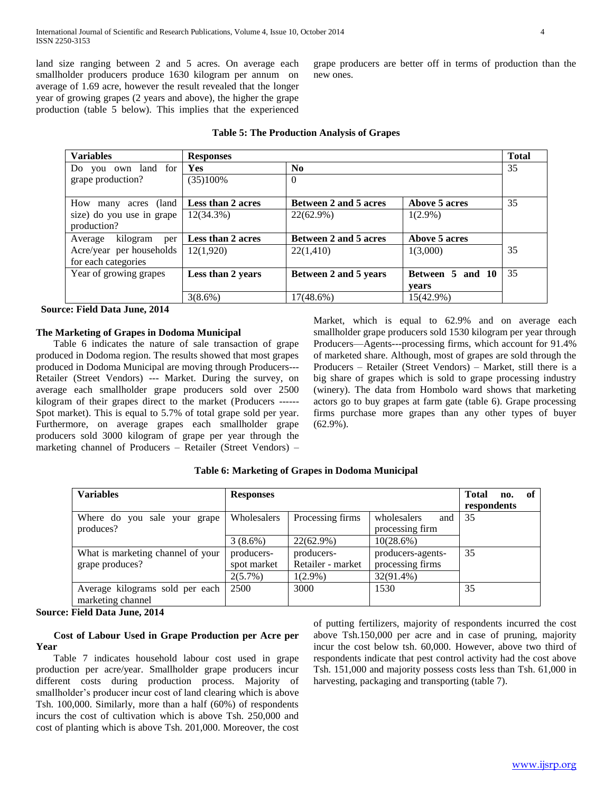land size ranging between 2 and 5 acres. On average each smallholder producers produce 1630 kilogram per annum on average of 1.69 acre, however the result revealed that the longer year of growing grapes (2 years and above), the higher the grape production (table 5 below). This implies that the experienced grape producers are better off in terms of production than the new ones.

| <b>Variables</b>           | <b>Responses</b>         |                              |                  | <b>Total</b> |
|----------------------------|--------------------------|------------------------------|------------------|--------------|
| Do you own land for        | <b>Yes</b>               | N <sub>0</sub>               |                  | 35           |
| grape production?          | (35)100%                 | $\Omega$                     |                  |              |
|                            |                          |                              |                  |              |
| How many<br>acres (land    | <b>Less than 2 acres</b> | <b>Between 2 and 5 acres</b> | Above 5 acres    | 35           |
| size) do you use in grape  | 12(34.3%)                | 22(62.9%)                    | $1(2.9\%)$       |              |
| production?                |                          |                              |                  |              |
| kilogram<br>Average<br>per | <b>Less than 2 acres</b> | <b>Between 2 and 5 acres</b> | Above 5 acres    |              |
| Acre/year per households   | 12(1,920)                | 22(1,410)                    | 1(3,000)         | 35           |
| for each categories        |                          |                              |                  |              |
| Year of growing grapes     | Less than 2 years        | Between 2 and 5 years        | Between 5 and 10 | 35           |
|                            |                          |                              | vears            |              |
|                            | $3(8.6\%)$               | $17(48.6\%)$                 | 15(42.9%)        |              |

## **Table 5: The Production Analysis of Grapes**

 **Source: Field Data June, 2014**

# **The Marketing of Grapes in Dodoma Municipal**

 Table 6 indicates the nature of sale transaction of grape produced in Dodoma region. The results showed that most grapes produced in Dodoma Municipal are moving through Producers--- Retailer (Street Vendors) --- Market. During the survey, on average each smallholder grape producers sold over 2500 kilogram of their grapes direct to the market (Producers ------ Spot market). This is equal to 5.7% of total grape sold per year. Furthermore, on average grapes each smallholder grape producers sold 3000 kilogram of grape per year through the marketing channel of Producers – Retailer (Street Vendors) – Market, which is equal to 62.9% and on average each smallholder grape producers sold 1530 kilogram per year through Producers—Agents---processing firms, which account for 91.4% of marketed share. Although, most of grapes are sold through the Producers – Retailer (Street Vendors) – Market, still there is a big share of grapes which is sold to grape processing industry (winery). The data from Hombolo ward shows that marketing actors go to buy grapes at farm gate (table 6). Grape processing firms purchase more grapes than any other types of buyer (62.9%).

| <b>Variables</b>                  | <b>Responses</b> |                   |                    | <b>Total</b><br>no. | - of |
|-----------------------------------|------------------|-------------------|--------------------|---------------------|------|
|                                   |                  |                   |                    | respondents         |      |
| Where do you sale your grape      | Wholesalers      | Processing firms  | wholesalers<br>and | 35                  |      |
| produces?                         |                  |                   | processing firm    |                     |      |
|                                   | $3(8.6\%)$       | $22(62.9\%)$      | 10(28.6%)          |                     |      |
| What is marketing channel of your | producers-       | producers-        | producers-agents-  | 35                  |      |
| grape produces?                   | spot market      | Retailer - market | processing firms   |                     |      |
|                                   | $2(5.7\%)$       | $1(2.9\%)$        | 32(91.4%)          |                     |      |
| Average kilograms sold per each   | 2500             | 3000              | 1530               | 35                  |      |
| marketing channel                 |                  |                   |                    |                     |      |

# **Table 6: Marketing of Grapes in Dodoma Municipal**

**Source: Field Data June, 2014**

# **Cost of Labour Used in Grape Production per Acre per Year**

 Table 7 indicates household labour cost used in grape production per acre/year. Smallholder grape producers incur different costs during production process. Majority of smallholder's producer incur cost of land clearing which is above Tsh. 100,000. Similarly, more than a half (60%) of respondents incurs the cost of cultivation which is above Tsh. 250,000 and cost of planting which is above Tsh. 201,000. Moreover, the cost of putting fertilizers, majority of respondents incurred the cost above Tsh.150,000 per acre and in case of pruning, majority incur the cost below tsh. 60,000. However, above two third of respondents indicate that pest control activity had the cost above Tsh. 151,000 and majority possess costs less than Tsh. 61,000 in harvesting, packaging and transporting (table 7).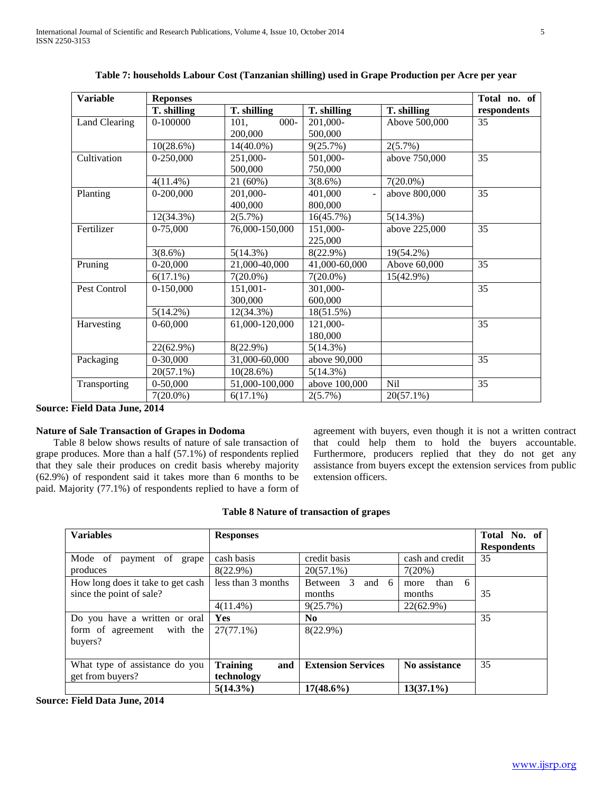| <b>Variable</b>                 | <b>Reponses</b> |                 |                           |               | Total no. of    |
|---------------------------------|-----------------|-----------------|---------------------------|---------------|-----------------|
|                                 | T. shilling     | T. shilling     | T. shilling               | T. shilling   | respondents     |
| <b>Land Clearing</b>            | 0-100000        | $000 -$<br>101, | 201,000-                  | Above 500,000 | 35              |
|                                 |                 | 200,000         | 500,000                   |               |                 |
|                                 | $10(28.6\%)$    | $14(40.0\%)$    | 9(25.7%)                  | 2(5.7%)       |                 |
| Cultivation                     | $0-250,000$     | 251,000-        | 501,000-                  | above 750,000 | $\overline{35}$ |
|                                 |                 | 500,000         | 750,000                   |               |                 |
|                                 | $4(11.4\%)$     | 21 (60%)        | $3(8.6\%)$                | $7(20.0\%)$   |                 |
| Planting                        | 0-200,000       | 201,000-        | 401,000<br>$\overline{a}$ | above 800,000 | 35              |
|                                 |                 | 400,000         | 800,000                   |               |                 |
|                                 | 12(34.3%)       | $2(5.7\%)$      | 16(45.7%)                 | $5(14.3\%)$   |                 |
| Fertilizer                      | 0-75,000        | 76,000-150,000  | 151,000-                  | above 225,000 | 35              |
|                                 |                 |                 | 225,000                   |               |                 |
|                                 | 3(8.6%)         | 5(14.3%)        | 8(22.9%)                  | 19(54.2%)     |                 |
| Pruning                         | 0-20,000        | 21,000-40,000   | 41,000-60,000             | Above 60,000  | 35              |
|                                 | $6(17.1\%)$     | $7(20.0\%)$     | $7(20.0\%)$               | 15(42.9%)     |                 |
| Pest Control                    | $0-150,000$     | 151,001-        | 301,000-                  |               | 35              |
|                                 |                 | 300,000         | 600,000                   |               |                 |
|                                 | $5(14.2\%)$     | 12(34.3%)       | 18(51.5%)                 |               |                 |
| Harvesting                      | $0-60,000$      | 61,000-120,000  | 121,000-                  |               | 35              |
|                                 |                 |                 | 180,000                   |               |                 |
|                                 | 22(62.9%)       | 8(22.9%)        | 5(14.3%)                  |               |                 |
| Packaging                       | 0-30,000        | 31,000-60,000   | above 90,000              |               | 35              |
|                                 | $20(57.1\%)$    | $10(28.6\%)$    | 5(14.3%)                  |               |                 |
| Transporting                    | $0-50,000$      | 51,000-100,000  | above 100,000             | Nil           | 35              |
|                                 | $7(20.0\%)$     | $6(17.1\%)$     | $2(5.7\%)$                | $20(57.1\%)$  |                 |
| $E_{\rm{old}}$ Dete Line $2014$ |                 |                 |                           |               |                 |

# **Table 7: households Labour Cost (Tanzanian shilling) used in Grape Production per Acre per year**

**Source: Field Data June, 2014**

# **Nature of Sale Transaction of Grapes in Dodoma**

 Table 8 below shows results of nature of sale transaction of grape produces. More than a half (57.1%) of respondents replied that they sale their produces on credit basis whereby majority (62.9%) of respondent said it takes more than 6 months to be paid. Majority (77.1%) of respondents replied to have a form of agreement with buyers, even though it is not a written contract that could help them to hold the buyers accountable. Furthermore, producers replied that they do not get any assistance from buyers except the extension services from public extension officers.

# **Table 8 Nature of transaction of grapes**

| <b>Variables</b>                  | <b>Responses</b>       |                                       |                   | Total No. of<br><b>Respondents</b> |
|-----------------------------------|------------------------|---------------------------------------|-------------------|------------------------------------|
| Mode of<br>payment of grape       | cash basis             | credit basis                          | cash and credit   | 35                                 |
| produces                          | $8(22.9\%)$            | $20(57.1\%)$                          | 7(20%)            |                                    |
| How long does it take to get cash | less than 3 months     | $\overline{3}$<br>and<br>Between<br>6 | than<br>6<br>more |                                    |
| since the point of sale?          |                        | months                                | months            | 35                                 |
|                                   | $4(11.4\%)$            | 9(25.7%)                              | 22(62.9%)         |                                    |
| Do you have a written or oral     | Yes                    | N <sub>0</sub>                        |                   | 35                                 |
| form of agreement with the        | $27(77.1\%)$           | $8(22.9\%)$                           |                   |                                    |
| buyers?                           |                        |                                       |                   |                                    |
|                                   |                        |                                       |                   |                                    |
| What type of assistance do you    | <b>Training</b><br>and | <b>Extension Services</b>             | No assistance     | 35                                 |
| get from buyers?                  | technology             |                                       |                   |                                    |
|                                   | $5(14.3\%)$            | $17(48.6\%)$                          | $13(37.1\%)$      |                                    |

**Source: Field Data June, 2014**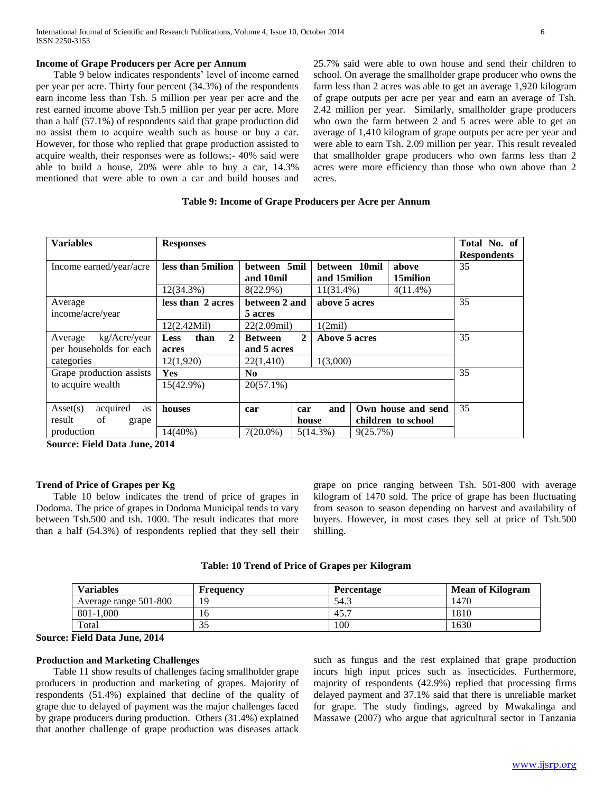# **Income of Grape Producers per Acre per Annum**

 Table 9 below indicates respondents' level of income earned per year per acre. Thirty four percent (34.3%) of the respondents earn income less than Tsh. 5 million per year per acre and the rest earned income above Tsh.5 million per year per acre. More than a half (57.1%) of respondents said that grape production did no assist them to acquire wealth such as house or buy a car. However, for those who replied that grape production assisted to acquire wealth, their responses were as follows;- 40% said were able to build a house, 20% were able to buy a car, 14.3% mentioned that were able to own a car and build houses and

25.7% said were able to own house and send their children to school. On average the smallholder grape producer who owns the farm less than 2 acres was able to get an average 1,920 kilogram of grape outputs per acre per year and earn an average of Tsh. 2.42 million per year. Similarly, smallholder grape producers who own the farm between 2 and 5 acres were able to get an average of 1,410 kilogram of grape outputs per acre per year and were able to earn Tsh. 2.09 million per year. This result revealed that smallholder grape producers who own farms less than 2 acres were more efficiency than those who own above than 2 acres.

| <b>Variables</b>                    | <b>Responses</b>                    |                                |                                |          |                    | Total No. of<br><b>Respondents</b> |
|-------------------------------------|-------------------------------------|--------------------------------|--------------------------------|----------|--------------------|------------------------------------|
| Income earned/year/acre             | less than 5 milion                  | between 5mil<br>and 10mil      | between 10mil<br>and 15 milion |          | above<br>15milion  | 35                                 |
|                                     | $12(34.3\%)$                        | 8(22.9%)                       | $11(31.4\%)$                   |          | $4(11.4\%)$        |                                    |
| Average                             | less than 2 acres                   | between 2 and                  | above 5 acres                  |          |                    | 35                                 |
| income/acre/year                    |                                     | 5 acres                        |                                |          |                    |                                    |
|                                     | 12(2.42Mil)                         | $22(2.09\text{mil})$           | 1(2mil)                        |          |                    |                                    |
| kg/Acre/year<br>Average             | $\mathbf{2}$<br>than<br><b>Less</b> | $\mathbf{2}$<br><b>Between</b> | Above 5 acres                  |          |                    | 35                                 |
| per households for each             | acres                               | and 5 acres                    |                                |          |                    |                                    |
| categories                          | 12(1,920)                           | 22(1,410)                      | 1(3,000)                       |          |                    |                                    |
| Grape production assists            | <b>Yes</b>                          | No.                            |                                |          |                    | 35                                 |
| to acquire wealth                   | $15(42.9\%)$                        | $20(57.1\%)$                   |                                |          |                    |                                    |
|                                     |                                     |                                |                                |          |                    |                                    |
| acquired<br>$\text{Asset}(s)$<br>as | houses                              | car<br>car                     | and                            |          | Own house and send | 35                                 |
| of<br>result<br>grape               |                                     | house                          |                                |          | children to school |                                    |
| production                          | $14(40\%)$                          | $7(20.0\%)$                    | $5(14.3\%)$                    | 9(25.7%) |                    |                                    |

**Table 9: Income of Grape Producers per Acre per Annum**

**Source: Field Data June, 2014**

# **Trend of Price of Grapes per Kg**

 Table 10 below indicates the trend of price of grapes in Dodoma. The price of grapes in Dodoma Municipal tends to vary between Tsh.500 and tsh. 1000. The result indicates that more than a half (54.3%) of respondents replied that they sell their

grape on price ranging between Tsh. 501-800 with average kilogram of 1470 sold. The price of grape has been fluctuating from season to season depending on harvest and availability of buyers. However, in most cases they sell at price of Tsh.500 shilling.

| Table: 10 Trend of Price of Grapes per Kilogram |
|-------------------------------------------------|
|-------------------------------------------------|

| <b>Variables</b>      | Frequency | Percentage | <b>Mean of Kilogram</b> |
|-----------------------|-----------|------------|-------------------------|
| Average range 501-800 | 19        | 54.3       | 1470                    |
| 801-1.000             |           | 45.7       | 1810                    |
| Total                 | ت ب       | 100        | 1630                    |

**Source: Field Data June, 2014**

# **Production and Marketing Challenges**

 Table 11 show results of challenges facing smallholder grape producers in production and marketing of grapes. Majority of respondents (51.4%) explained that decline of the quality of grape due to delayed of payment was the major challenges faced by grape producers during production. Others (31.4%) explained that another challenge of grape production was diseases attack

such as fungus and the rest explained that grape production incurs high input prices such as insecticides. Furthermore, majority of respondents (42.9%) replied that processing firms delayed payment and 37.1% said that there is unreliable market for grape. The study findings, agreed by Mwakalinga and Massawe (2007) who argue that agricultural sector in Tanzania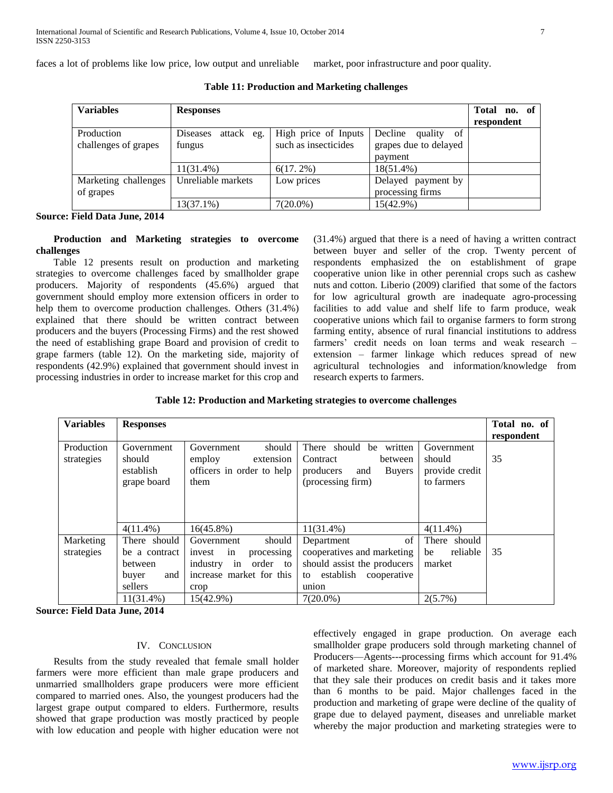faces a lot of problems like low price, low output and unreliable market, poor infrastructure and poor quality.

| <b>Variables</b>                   | <b>Responses</b>                    |                                              |                                                              | Total no. of<br>respondent |
|------------------------------------|-------------------------------------|----------------------------------------------|--------------------------------------------------------------|----------------------------|
| Production<br>challenges of grapes | attack<br>Diseases<br>eg.<br>fungus | High price of Inputs<br>such as insecticides | Decline<br>quality<br>of<br>grapes due to delayed<br>payment |                            |
|                                    | $11(31.4\%)$                        | $6(17.2\%)$                                  | 18(51.4%)                                                    |                            |
| Marketing challenges<br>of grapes  | Unreliable markets                  | Low prices                                   | Delayed payment by<br>processing firms                       |                            |
|                                    | 13(37.1%)                           | $7(20.0\%)$                                  | 15(42.9%)                                                    |                            |

**Table 11: Production and Marketing challenges**

**Source: Field Data June, 2014**

# **Production and Marketing strategies to overcome challenges**

 Table 12 presents result on production and marketing strategies to overcome challenges faced by smallholder grape producers. Majority of respondents (45.6%) argued that government should employ more extension officers in order to help them to overcome production challenges. Others (31.4%) explained that there should be written contract between producers and the buyers (Processing Firms) and the rest showed the need of establishing grape Board and provision of credit to grape farmers (table 12). On the marketing side, majority of respondents (42.9%) explained that government should invest in processing industries in order to increase market for this crop and

(31.4%) argued that there is a need of having a written contract between buyer and seller of the crop. Twenty percent of respondents emphasized the on establishment of grape cooperative union like in other perennial crops such as cashew nuts and cotton. Liberio (2009) clarified that some of the factors for low agricultural growth are inadequate agro-processing facilities to add value and shelf life to farm produce, weak cooperative unions which fail to organise farmers to form strong farming entity, absence of rural financial institutions to address farmers' credit needs on loan terms and weak research – extension – farmer linkage which reduces spread of new agricultural technologies and information/knowledge from research experts to farmers.

# **Table 12: Production and Marketing strategies to overcome challenges**

| <b>Variables</b>         | <b>Responses</b>                                                    |                                                                                                                   |                                                                                                                       |                                                      |    |
|--------------------------|---------------------------------------------------------------------|-------------------------------------------------------------------------------------------------------------------|-----------------------------------------------------------------------------------------------------------------------|------------------------------------------------------|----|
| Production<br>strategies | Government<br>should<br>establish<br>grape board                    | should<br>Government<br>employ<br>extension<br>officers in order to help<br>them                                  | There should<br>written<br>be<br>Contract<br>between<br>producers<br><b>Buyers</b><br>and<br>(processing firm)        | Government<br>should<br>provide credit<br>to farmers | 35 |
|                          | $4(11.4\%)$                                                         | $16(45.8\%)$                                                                                                      | $11(31.4\%)$                                                                                                          | $4(11.4\%)$                                          |    |
| Marketing<br>strategies  | There should<br>be a contract<br>between<br>and<br>buyer<br>sellers | Government<br>should<br>invest<br>processing<br>in<br>industry in<br>order to<br>increase market for this<br>crop | of<br>Department<br>cooperatives and marketing<br>should assist the producers<br>establish cooperative<br>to<br>union | There should<br>reliable<br>be<br>market             | 35 |
|                          | $11(31.4\%)$                                                        | 15(42.9%)                                                                                                         | $7(20.0\%)$                                                                                                           | $2(5.7\%)$                                           |    |

**Source: Field Data June, 2014**

# IV. CONCLUSION

 Results from the study revealed that female small holder farmers were more efficient than male grape producers and unmarried smallholders grape producers were more efficient compared to married ones. Also, the youngest producers had the largest grape output compared to elders. Furthermore, results showed that grape production was mostly practiced by people with low education and people with higher education were not

effectively engaged in grape production. On average each smallholder grape producers sold through marketing channel of Producers—Agents---processing firms which account for 91.4% of marketed share. Moreover, majority of respondents replied that they sale their produces on credit basis and it takes more than 6 months to be paid. Major challenges faced in the production and marketing of grape were decline of the quality of grape due to delayed payment, diseases and unreliable market whereby the major production and marketing strategies were to